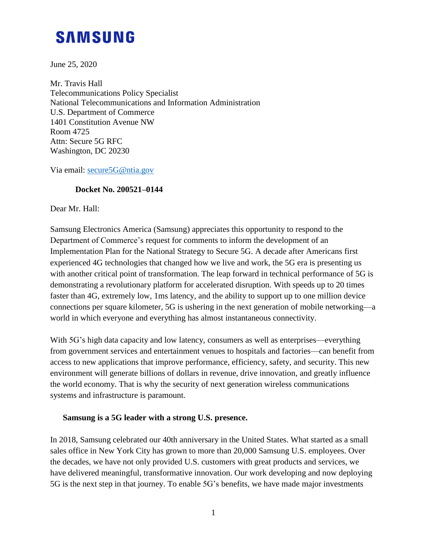# **SAMSUNG**

June 25, 2020

Mr. Travis Hall Telecommunications Policy Specialist National Telecommunications and Information Administration U.S. Department of Commerce 1401 Constitution Avenue NW Room 4725 Attn: Secure 5G RFC Washington, DC 20230

Via email: [secure5G@ntia.gov](mailto:secure5G@ntia.gov)

### **Docket No. 200521–0144**

Dear Mr. Hall:

Samsung Electronics America (Samsung) appreciates this opportunity to respond to the Department of Commerce's request for comments to inform the development of an Implementation Plan for the National Strategy to Secure 5G. A decade after Americans first experienced 4G technologies that changed how we live and work, the 5G era is presenting us with another critical point of transformation. The leap forward in technical performance of 5G is demonstrating a revolutionary platform for accelerated disruption. With speeds up to 20 times faster than 4G, extremely low, 1ms latency, and the ability to support up to one million device connections per square kilometer, 5G is ushering in the next generation of mobile networking—a world in which everyone and everything has almost instantaneous connectivity.

With 5G's high data capacity and low latency, consumers as well as enterprises—everything from government services and entertainment venues to hospitals and factories—can benefit from access to new applications that improve performance, efficiency, safety, and security. This new environment will generate billions of dollars in revenue, drive innovation, and greatly influence the world economy. That is why the security of next generation wireless communications systems and infrastructure is paramount.

#### **Samsung is a 5G leader with a strong U.S. presence.**

In 2018, Samsung celebrated our 40th anniversary in the United States. What started as a small sales office in New York City has grown to more than 20,000 Samsung U.S. employees. Over the decades, we have not only provided U.S. customers with great products and services, we have delivered meaningful, transformative innovation. Our work developing and now deploying 5G is the next step in that journey. To enable 5G's benefits, we have made major investments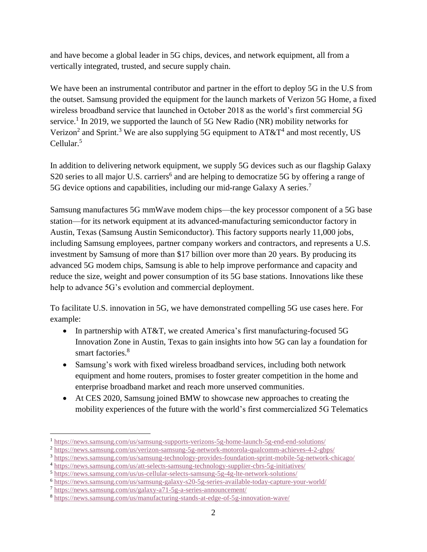and have become a global leader in 5G chips, devices, and network equipment, all from a vertically integrated, trusted, and secure supply chain.

We have been an instrumental contributor and partner in the effort to deploy 5G in the U.S from the outset. Samsung provided the equipment for the launch markets of Verizon 5G Home, a fixed wireless broadband service that launched in October 2018 as the world's first commercial 5G service.<sup>1</sup> In 2019, we supported the launch of 5G New Radio (NR) mobility networks for Verizon<sup>2</sup> and Sprint.<sup>3</sup> We are also supplying 5G equipment to  $AT&T^4$  and most recently, US Cellular.<sup>5</sup>

In addition to delivering network equipment, we supply 5G devices such as our flagship Galaxy S20 series to all major U.S. carriers<sup>6</sup> and are helping to democratize 5G by offering a range of 5G device options and capabilities, including our mid-range Galaxy A series.<sup>7</sup>

Samsung manufactures 5G mmWave modem chips—the key processor component of a 5G base station—for its network equipment at its advanced-manufacturing semiconductor factory in Austin, Texas (Samsung Austin Semiconductor). This factory supports nearly 11,000 jobs, including Samsung employees, partner company workers and contractors, and represents a U.S. investment by Samsung of more than \$17 billion over more than 20 years. By producing its advanced 5G modem chips, Samsung is able to help improve performance and capacity and reduce the size, weight and power consumption of its 5G base stations. Innovations like these help to advance 5G's evolution and commercial deployment.

To facilitate U.S. innovation in 5G, we have demonstrated compelling 5G use cases here. For example:

- In partnership with AT&T, we created America's first manufacturing-focused 5G Innovation Zone in Austin, Texas to gain insights into how 5G can lay a foundation for smart factories.<sup>8</sup>
- Samsung's work with fixed wireless broadband services, including both network equipment and home routers, promises to foster greater competition in the home and enterprise broadband market and reach more unserved communities.
- At CES 2020, Samsung joined BMW to showcase new approaches to creating the mobility experiences of the future with the world's first commercialized 5G Telematics

 $\overline{a}$ <sup>1</sup> <https://news.samsung.com/us/samsung-supports-verizons-5g-home-launch-5g-end-end-solutions/>

<sup>2</sup> <https://news.samsung.com/us/verizon-samsung-5g-network-motorola-qualcomm-achieves-4-2-gbps/>

<sup>3</sup> <https://news.samsung.com/us/samsung-technology-provides-foundation-sprint-mobile-5g-network-chicago/>

<sup>4</sup> <https://news.samsung.com/us/att-selects-samsung-technology-supplier-cbrs-5g-initiatives/>

<sup>5</sup> <https://news.samsung.com/us/us-cellular-selects-samsung-5g-4g-lte-network-solutions/>

<sup>6</sup> <https://news.samsung.com/us/samsung-galaxy-s20-5g-series-available-today-capture-your-world/>

<sup>7</sup> <https://news.samsung.com/us/galaxy-a71-5g-a-series-announcement/>

<sup>8</sup> <https://news.samsung.com/us/manufacturing-stands-at-edge-of-5g-innovation-wave/>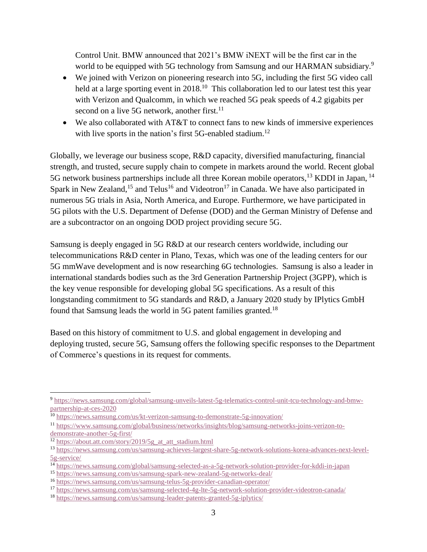Control Unit. BMW announced that 2021's BMW iNEXT will be the first car in the world to be equipped with 5G technology from Samsung and our HARMAN subsidiary.<sup>9</sup>

- We joined with Verizon on pioneering research into 5G, including the first 5G video call held at a large sporting event in 2018.<sup>10</sup> This collaboration led to our latest test this year with Verizon and Qualcomm, in which we reached 5G peak speeds of 4.2 gigabits per second on a live 5G network, another first.<sup>11</sup>
- We also collaborated with AT&T to connect fans to new kinds of immersive experiences with live sports in the nation's first 5G-enabled stadium.<sup>12</sup>

Globally, we leverage our business scope, R&D capacity, diversified manufacturing, financial strength, and trusted, secure supply chain to compete in markets around the world. Recent global 5G network business partnerships include all three Korean mobile operators,<sup>13</sup> KDDI in Japan, <sup>14</sup> Spark in New Zealand,<sup>15</sup> and Telus<sup>16</sup> and Videotron<sup>17</sup> in Canada. We have also participated in numerous 5G trials in Asia, North America, and Europe. Furthermore, we have participated in 5G pilots with the U.S. Department of Defense (DOD) and the German Ministry of Defense and are a subcontractor on an ongoing DOD project providing secure 5G.

Samsung is deeply engaged in 5G R&D at our research centers worldwide, including our telecommunications R&D center in Plano, Texas, which was one of the leading centers for our 5G mmWave development and is now researching 6G technologies. Samsung is also a leader in international standards bodies such as the 3rd Generation Partnership Project (3GPP), which is the key venue responsible for developing global 5G specifications. As a result of this longstanding commitment to 5G standards and R&D, a January 2020 study by IPlytics GmbH found that Samsung leads the world in 5G patent families granted.<sup>18</sup>

Based on this history of commitment to U.S. and global engagement in developing and deploying trusted, secure 5G, Samsung offers the following specific responses to the Department of Commerce's questions in its request for comments.

 $\overline{a}$ <sup>9</sup> [https://news.samsung.com/global/samsung-unveils-latest-5g-telematics-control-unit-tcu-technology-and-bmw](https://news.samsung.com/global/samsung-unveils-latest-5g-telematics-control-unit-tcu-technology-and-bmw-partnership-at-ces-2020)[partnership-at-ces-2020](https://news.samsung.com/global/samsung-unveils-latest-5g-telematics-control-unit-tcu-technology-and-bmw-partnership-at-ces-2020)

<sup>10</sup> <https://news.samsung.com/us/kt-verizon-samsung-to-demonstrate-5g-innovation/>

<sup>11</sup> [https://www.samsung.com/global/business/networks/insights/blog/samsung-networks-joins-verizon-to](https://www.samsung.com/global/business/networks/insights/blog/samsung-networks-joins-verizon-to-demonstrate-another-5g-first/)[demonstrate-another-5g-first/](https://www.samsung.com/global/business/networks/insights/blog/samsung-networks-joins-verizon-to-demonstrate-another-5g-first/)

 $\frac{12 \text{ https://about.att.com/story/2019/5g}}{12 \text{ https://about.att.com/story/2019/5g}}$  at att stadium.html

<sup>13</sup> [https://news.samsung.com/us/samsung-achieves-largest-share-5g-network-solutions-korea-advances-next-level-](https://news.samsung.com/us/samsung-achieves-largest-share-5g-network-solutions-korea-advances-next-level-5g-service/)[5g-service/](https://news.samsung.com/us/samsung-achieves-largest-share-5g-network-solutions-korea-advances-next-level-5g-service/)

<sup>14</sup> <https://news.samsung.com/global/samsung-selected-as-a-5g-network-solution-provider-for-kddi-in-japan>

<sup>15</sup> <https://news.samsung.com/us/samsung-spark-new-zealand-5g-networks-deal/>

<sup>16</sup> <https://news.samsung.com/us/samsung-telus-5g-provider-canadian-operator/>

<sup>17</sup> <https://news.samsung.com/us/samsung-selected-4g-lte-5g-network-solution-provider-videotron-canada/>

<sup>18</sup> <https://news.samsung.com/us/samsung-leader-patents-granted-5g-iplytics/>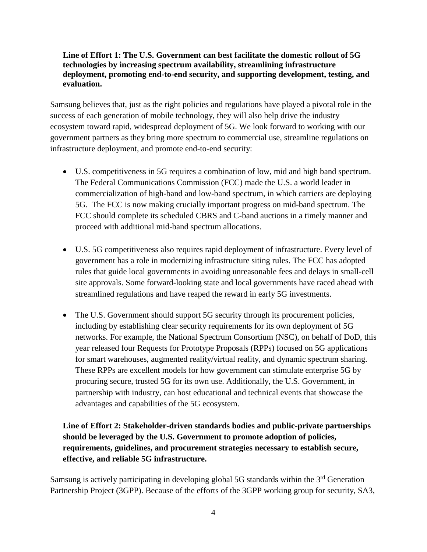#### **Line of Effort 1: The U.S. Government can best facilitate the domestic rollout of 5G technologies by increasing spectrum availability, streamlining infrastructure deployment, promoting end-to-end security, and supporting development, testing, and evaluation.**

Samsung believes that, just as the right policies and regulations have played a pivotal role in the success of each generation of mobile technology, they will also help drive the industry ecosystem toward rapid, widespread deployment of 5G. We look forward to working with our government partners as they bring more spectrum to commercial use, streamline regulations on infrastructure deployment, and promote end-to-end security:

- U.S. competitiveness in 5G requires a combination of low, mid and high band spectrum. The Federal Communications Commission (FCC) made the U.S. a world leader in commercialization of high-band and low-band spectrum, in which carriers are deploying 5G. The FCC is now making crucially important progress on mid-band spectrum. The FCC should complete its scheduled CBRS and C-band auctions in a timely manner and proceed with additional mid-band spectrum allocations.
- U.S. 5G competitiveness also requires rapid deployment of infrastructure. Every level of government has a role in modernizing infrastructure siting rules. The FCC has adopted rules that guide local governments in avoiding unreasonable fees and delays in small-cell site approvals. Some forward-looking state and local governments have raced ahead with streamlined regulations and have reaped the reward in early 5G investments.
- The U.S. Government should support 5G security through its procurement policies, including by establishing clear security requirements for its own deployment of 5G networks. For example, the National Spectrum Consortium (NSC), on behalf of DoD, this year released four Requests for Prototype Proposals (RPPs) focused on 5G applications for smart warehouses, augmented reality/virtual reality, and dynamic spectrum sharing. These RPPs are excellent models for how government can stimulate enterprise 5G by procuring secure, trusted 5G for its own use. Additionally, the U.S. Government, in partnership with industry, can host educational and technical events that showcase the advantages and capabilities of the 5G ecosystem.

## **Line of Effort 2: Stakeholder-driven standards bodies and public-private partnerships should be leveraged by the U.S. Government to promote adoption of policies, requirements, guidelines, and procurement strategies necessary to establish secure, effective, and reliable 5G infrastructure.**

Samsung is actively participating in developing global 5G standards within the 3<sup>rd</sup> Generation Partnership Project (3GPP). Because of the efforts of the 3GPP working group for security, SA3,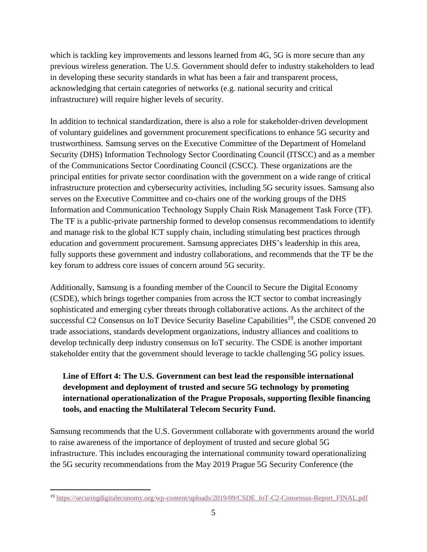which is tackling key improvements and lessons learned from 4G, 5G is more secure than any previous wireless generation. The U.S. Government should defer to industry stakeholders to lead in developing these security standards in what has been a fair and transparent process, acknowledging that certain categories of networks (e.g. national security and critical infrastructure) will require higher levels of security.

In addition to technical standardization, there is also a role for stakeholder-driven development of voluntary guidelines and government procurement specifications to enhance 5G security and trustworthiness. Samsung serves on the Executive Committee of the Department of Homeland Security (DHS) Information Technology Sector Coordinating Council (ITSCC) and as a member of the Communications Sector Coordinating Council (CSCC). These organizations are the principal entities for private sector coordination with the government on a wide range of critical infrastructure protection and cybersecurity activities, including 5G security issues. Samsung also serves on the Executive Committee and co-chairs one of the working groups of the DHS Information and Communication Technology Supply Chain Risk Management Task Force (TF). The TF is a public-private partnership formed to develop consensus recommendations to identify and manage risk to the global ICT supply chain, including stimulating best practices through education and government procurement. Samsung appreciates DHS's leadership in this area, fully supports these government and industry collaborations, and recommends that the TF be the key forum to address core issues of concern around 5G security.

Additionally, Samsung is a founding member of the Council to Secure the Digital Economy (CSDE), which brings together companies from across the ICT sector to combat increasingly sophisticated and emerging cyber threats through collaborative actions. As the architect of the successful C2 Consensus on IoT Device Security Baseline Capabilities<sup>19</sup>, the CSDE convened 20 trade associations, standards development organizations, industry alliances and coalitions to develop technically deep industry consensus on IoT security. The CSDE is another important stakeholder entity that the government should leverage to tackle challenging 5G policy issues.

## **Line of Effort 4: The U.S. Government can best lead the responsible international development and deployment of trusted and secure 5G technology by promoting international operationalization of the Prague Proposals, supporting flexible financing tools, and enacting the Multilateral Telecom Security Fund.**

Samsung recommends that the U.S. Government collaborate with governments around the world to raise awareness of the importance of deployment of trusted and secure global 5G infrastructure. This includes encouraging the international community toward operationalizing the 5G security recommendations from the May 2019 Prague 5G Security Conference (the

 $\overline{a}$ 

<sup>&</sup>lt;sup>19</sup> [https://securingdigitaleconomy.org/wp-content/uploads/2019/09/CSDE\\_IoT-C2-Consensus-Report\\_FINAL.pdf](https://securingdigitaleconomy.org/wp-content/uploads/2019/09/CSDE_IoT-C2-Consensus-Report_FINAL.pdf)